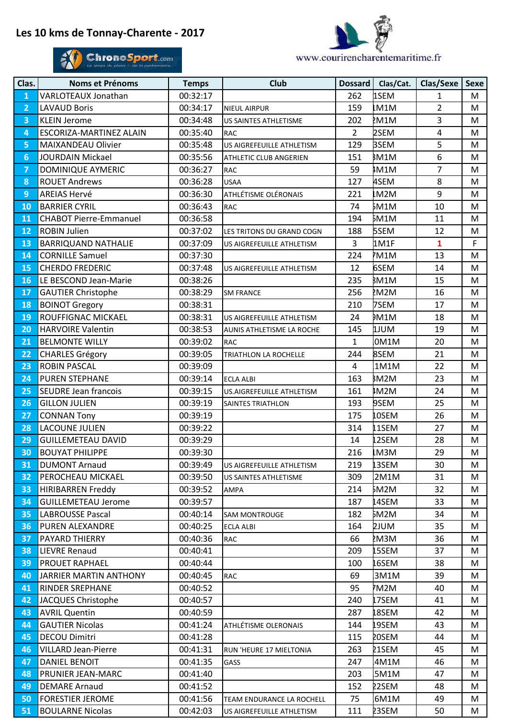## **Les 10 kms de Tonnay-Charente - 2017**





| Clas.          | Noms et Prénoms               | <b>Temps</b> | <b>Club</b>               | Dossard        | Clas/Cat.    | Clas/Sexe               | <b>Sexe</b> |
|----------------|-------------------------------|--------------|---------------------------|----------------|--------------|-------------------------|-------------|
| $\mathbf{1}$   | VARLOTEAUX Jonathan           | 00:32:17     |                           | 262            | 1SEM         | $\mathbf{1}$            | M           |
| $\overline{2}$ | <b>LAVAUD Boris</b>           | 00:34:17     | <b>NIEUL AIRPUR</b>       | 159            | M1M          | $\overline{2}$          | M           |
| 3              | <b>KLEIN Jerome</b>           | 00:34:48     | US SAINTES ATHLETISME     | 202            | M1M          | 3                       | M           |
| 4              | ESCORIZA-MARTINEZ ALAIN       | 00:35:40     | <b>RAC</b>                | $\overline{2}$ | 2SEM         | $\overline{\mathbf{4}}$ | M           |
| 5              | MAIXANDEAU Olivier            | 00:35:48     | US AIGREFEUILLE ATHLETISM | 129            | <b>BSEM</b>  | 5                       | M           |
| 6              | <b>JOURDAIN Mickael</b>       | 00:35:56     | ATHLETIC CLUB ANGERIEN    | 151            | <b>BM1M</b>  | 6                       | M           |
| $\overline{7}$ | DOMINIQUE AYMERIC             | 00:36:27     | <b>RAC</b>                | 59             | IM1M         | $\overline{7}$          | M           |
| 8              | <b>ROUET Andrews</b>          | 00:36:28     | <b>USAA</b>               | 127            | 4SEM         | 8                       | M           |
| 9              | <b>AREIAS Hervé</b>           | 00:36:30     | ATHLÉTISME OLÉRONAIS      | 221            | M2M          | 9                       | M           |
| 10             | <b>BARRIER CYRIL</b>          | 00:36:43     | <b>RAC</b>                | 74             | 5M1M         | 10                      | M           |
| 11             | <b>CHABOT Pierre-Emmanuel</b> | 00:36:58     |                           | 194            | 5M1M         | 11                      | M           |
| 12             | <b>ROBIN Julien</b>           | 00:37:02     | LES TRITONS DU GRAND COGN | 188            | 5SEM         | 12                      | M           |
| 13             | <b>BARRIQUAND NATHALIE</b>    | 00:37:09     | US AIGREFEUILLE ATHLETISM | $\overline{3}$ | 1M1F         | $\mathbf{1}$            | $\mathsf F$ |
| 14             | <b>CORNILLE Samuel</b>        | 00:37:30     |                           | 224            | M1M          | 13                      | M           |
| 15             | <b>CHERDO FREDERIC</b>        | 00:37:48     | US AIGREFEUILLE ATHLETISM | 12             | 6SEM         | 14                      | M           |
| 16             | LE BESCOND Jean-Marie         | 00:38:26     |                           | 235            | BM1M         | 15                      | M           |
| 17             | <b>GAUTIER Christophe</b>     | 00:38:29     | <b>SM FRANCE</b>          | 256            | M2M          | 16                      | M           |
| 18             | <b>BOINOT Gregory</b>         | 00:38:31     |                           | 210            | 7SEM         | 17                      | M           |
| 19             | ROUFFIGNAC MICKAEL            | 00:38:31     | US AIGREFEUILLE ATHLETISM | 24             | <b>M1M</b>   | 18                      | M           |
| 20             | <b>HARVOIRE Valentin</b>      | 00:38:53     | AUNIS ATHLETISME LA ROCHE | 145            | MULL         | 19                      | M           |
| 21             | <b>BELMONTE WILLY</b>         | 00:39:02     | <b>RAC</b>                | $\mathbf{1}$   | 0M1M         | 20                      | M           |
| 22             | <b>CHARLES Grégory</b>        | 00:39:05     | TRIATHLON LA ROCHELLE     | 244            | 8SEM         | 21                      | M           |
| 23             | <b>ROBIN PASCAL</b>           | 00:39:09     |                           | 4              | 1M1M         | 22                      | M           |
| 24             | <b>PUREN STEPHANE</b>         | 00:39:14     | <b>ECLA ALBI</b>          | 163            | BM2M         | 23                      | M           |
| 25             | SEUDRE Jean francois          | 00:39:15     | US.AIGREFEUILLE ATHLETISM | 161            | IM2M         | 24                      | M           |
| 26             | <b>GILLON JULIEN</b>          | 00:39:19     | SAINTES TRIATHLON         | 193            | 9SEM         | 25                      | M           |
| 27             | <b>CONNAN Tony</b>            | 00:39:19     |                           | 175            | .0SEM        | 26                      | M           |
| 28             | LACOUNE JULIEN                | 00:39:22     |                           | 314            | L1SEM        | 27                      | M           |
| 29             | <b>GUILLEMETEAU DAVID</b>     | 00:39:29     |                           | 14             | 2SEM         | 28                      | M           |
| 30             | <b>BOUYAT PHILIPPE</b>        | 00:39:30     |                           | 216            | LM3M         | 29                      | M           |
| 31             | <b>DUMONT Arnaud</b>          | 00:39:49     | US AIGREFEUILLE ATHLETISM | 219            | <b>L3SEM</b> | 30                      | M           |
| 32             | PEROCHEAU MICKAEL             | 00:39:50     | US SAINTES ATHLETISME     | 309            | 2M1M         | 31                      | М           |
| 33             | <b>HIRIBARREN Freddy</b>      | 00:39:52     | AMPA                      | 214            | ኔM2M         | 32                      | M           |
| 34             | <b>GUILLEMETEAU Jerome</b>    | 00:39:57     |                           | 187            | 4SEM         | 33                      | M           |
| 35             | <b>LABROUSSE Pascal</b>       | 00:40:14     | <b>SAM MONTROUGE</b>      | 182            | 5M2M         | 34                      | M           |
| 36             | PUREN ALEXANDRE               | 00:40:25     | <b>ECLA ALBI</b>          | 164            | <b>ZJUM</b>  | 35                      | М           |
| 37             | PAYARD THIERRY                | 00:40:36     | RAC                       | 66             | M3M          | 36                      | M           |
| 38             | <b>LIEVRE Renaud</b>          | 00:40:41     |                           | 209            | L5SEM        | 37                      | M           |
| 39             | PROUET RAPHAEL                | 00:40:44     |                           | 100            | .6SEM        | 38                      | M           |
| 40             | <b>JARRIER MARTIN ANTHONY</b> | 00:40:45     | <b>RAC</b>                | 69             | 3M1M         | 39                      | M           |
| 41             | <b>RINDER SREPHANE</b>        | 00:40:52     |                           | 95             | M2M          | 40                      | М           |
| 42             | <b>JACQUES Christophe</b>     | 00:40:57     |                           | 240            | L7SEM        | 41                      | М           |
| 43             | <b>AVRIL Quentin</b>          | 00:40:59     |                           | 287            | <b>8SEM</b>  | 42                      | M           |
| 44             | <b>GAUTIER Nicolas</b>        | 00:41:24     | ATHLÉTISME OLERONAIS      | 144            | 9SEM.        | 43                      | M           |
| 45             | <b>DECOU Dimitri</b>          | 00:41:28     |                           | 115            | <b>20SEM</b> | 44                      | M           |
| 46             | <b>VILLARD Jean-Pierre</b>    | 00:41:31     | RUN 'HEURE 17 MIELTONIA   | 263            | 21SEM        | 45                      | M           |
| 47             | <b>DANIEL BENOIT</b>          | 00:41:35     | GASS                      | 247            | 4M1M         | 46                      | M           |
| 48             | PRUNIER JEAN-MARC             | 00:41:40     |                           | 203            | 5M1M         | 47                      | M           |
| 49             | <b>DEMARE Arnaud</b>          | 00:41:52     |                           | 152            | 22SEM        | 48                      | M           |
| 50             | <b>FORESTIER JEROME</b>       | 00:41:56     | TEAM ENDURANCE LA ROCHELL | 75             | 6M1M         | 49                      | M           |
| 51             | <b>BOULARNE Nicolas</b>       | 00:42:03     | US AIGREFEUILLE ATHLETISM | 111            | 23SEM        | 50                      | M           |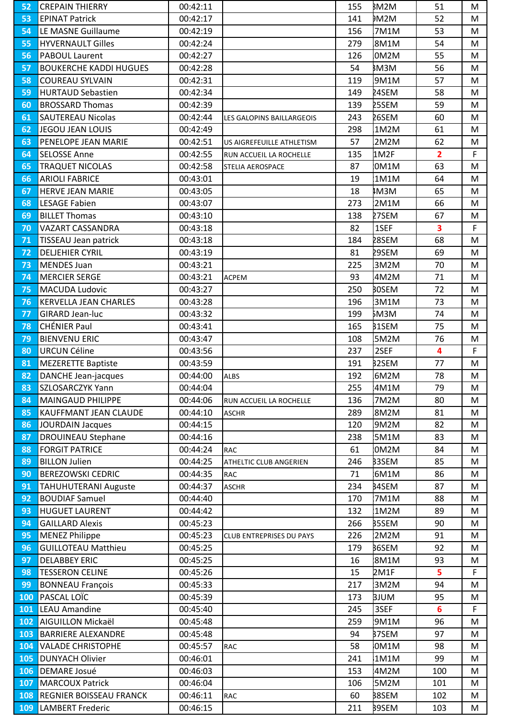| <b>EPINAT Patrick</b><br>00:42:17<br>141<br>DM2M<br>52<br>53<br>LE MASNE Guillaume<br>00:42:19<br>53<br>54<br>156<br>7M1M<br>55<br><b>HYVERNAULT Gilles</b><br>00:42:24<br>279<br>8M1M<br>54<br><b>PABOUL Laurent</b><br>00:42:27<br>0M2M<br>55<br>56<br>126<br>57<br><b>BOUKERCHE KADDI HUGUES</b><br>00:42:28<br><b>BM3M</b><br>56<br>54<br>58<br>9M1M<br><b>COUREAU SYLVAIN</b><br>00:42:31<br>119<br>57<br>59<br><b>HURTAUD Sebastien</b><br>00:42:34<br>24SEM<br>149<br>58<br>00:42:39<br>25SEM<br><b>BROSSARD Thomas</b><br>59<br>60<br>139<br><b>SAUTEREAU Nicolas</b><br>61<br>00:42:44<br>243<br>26SEM<br>60<br><b>LES GALOPINS BAILLARGEOIS</b><br>JEGOU JEAN LOUIS<br>62<br>00:42:49<br>298<br>1M2M<br>61<br>2M2M<br>63<br>PENELOPE JEAN MARIE<br>00:42:51<br>57<br>62<br>US AIGREFEUILLE ATHLETISM<br><b>SELOSSE Anne</b><br>00:42:55<br>1M2F<br>$\overline{2}$<br>64<br>135<br>RUN ACCUEIL LA ROCHELLE<br><b>TRAQUET NICOLAS</b><br>OM1M<br>63<br>65<br>00:42:58<br>87<br>STELIA AEROSPACE<br><b>ARIOLI FABRICE</b><br>64<br>66<br>00:43:01<br>19<br>1M1M<br>67<br>IM3M<br>65<br><b>HERVE JEAN MARIE</b><br>00:43:05<br>18<br><b>LESAGE Fabien</b><br>273<br>2M1M<br>68<br>00:43:07<br>66<br>69<br><b>BILLET Thomas</b><br>27SEM<br>00:43:10<br>138<br>67<br>1SEF<br>3<br>VAZART CASSANDRA<br>70<br>00:43:18<br>82<br>28SEM<br>68<br>TISSEAU Jean patrick<br>00:43:18<br>184<br>71<br>29SEM<br>69<br>72<br><b>DELJEHIER CYRIL</b><br>00:43:19<br>81<br>225<br>3M2M<br>73<br><b>MENDES Juan</b><br>00:43:21<br>70<br><b>MERCIER SERGE</b><br>00:43:21<br>74<br>93<br>4M2M<br>71<br><b>ACPEM</b><br>75<br><b>BOSEM</b><br>72<br><b>MACUDA Ludovic</b><br>00:43:27<br>250<br><b>KERVELLA JEAN CHARLES</b><br>76<br>00:43:28<br>196<br>3M1M<br>73<br>77<br>ҍМЗМ<br>74<br><b>GIRARD Jean-luc</b><br>00:43:32<br>199<br><b>CHÉNIER Paul</b><br><b>B</b> 1SEM<br>78<br>00:43:41<br>165<br>75<br>79<br><b>BIENVENU ERIC</b><br>76<br>00:43:47<br>108<br>5M2M<br><b>URCUN Céline</b><br>2SEF<br>4<br>80<br>00:43:56<br>237<br>81<br><b>MEZERETTE Baptiste</b><br><b>B2SEM</b><br>00:43:59<br>191<br>77<br>78<br>82<br><b>DANCHE Jean-jacques</b><br>00:44:00<br>192<br>6M2M<br><b>ALBS</b><br>SZLOSARCZYK Yann<br>4M1M<br>79<br>255<br>00:44:04<br>83<br>84<br><b>MAINGAUD PHILIPPE</b><br>00:44:06<br>136<br>7M2M<br>80<br>RUN ACCUEIL LA ROCHELLE<br>00:44:10<br>8M2M<br>81<br>85<br>KAUFFMANT JEAN CLAUDE<br>289<br><b>ASCHR</b><br>86<br><b>JOURDAIN Jacques</b><br>00:44:15<br>120<br>9M2M<br>82<br>83<br>87<br><b>DROUINEAU Stephane</b><br>00:44:16<br>238<br>5M1M<br><b>FORGIT PATRICE</b><br>00:44:24<br>0M2M<br>84<br>88<br>61<br><b>RAC</b><br>89<br><b>BILLON Julien</b><br>00:44:25<br><b>B3SEM</b><br>246<br>85<br>ATHELTIC CLUB ANGERIEN<br><b>BEREZOWSKI CEDRIC</b><br>00:44:35<br>71<br>86<br>90<br>6M1M<br>RAC<br><b>B</b> 4SEM<br>91<br><b>TAHUHUTERANI Auguste</b><br>00:44:37<br>234<br>87<br><b>ASCHR</b><br>00:44:40<br>92<br><b>BOUDIAF Samuel</b><br>170<br>7M1M<br>88<br><b>HUGUET LAURENT</b><br>00:44:42<br>1M2M<br>89<br>93<br>132<br>94<br><b>GAILLARD Alexis</b><br>00:45:23<br><b>B5SEM</b><br>266<br>90<br>95<br><b>MENEZ Philippe</b><br>91<br>00:45:23<br>226<br>2M2M<br><b>CLUB ENTREPRISES DU PAYS</b><br>96<br><b>GUILLOTEAU Matthieu</b><br><b>B6SEM</b><br>00:45:25<br>92<br>179<br>93<br><b>DELABBEY ERIC</b><br>00:45:25<br>97<br>16<br>8M1M<br>5<br><b>TESSERON CELINE</b><br>2M1F<br>98<br>00:45:26<br>15<br>99<br><b>BONNEAU François</b><br>00:45:33<br>3M2M<br>94<br>217<br>PASCAL LOÏC<br>100<br>00:45:39<br><b>BJUM</b><br>95<br>173<br><b>LEAU Amandine</b><br>3SEF<br>6<br>101<br>00:45:40<br>245<br>AIGUILLON Mickaël<br>96<br>102<br>00:45:48<br>259<br>9M1M<br><b>BARRIERE ALEXANDRE</b><br><b>B7SEM</b><br>103<br>00:45:48<br>94<br>97<br>104<br><b>VALADE CHRISTOPHE</b><br>00:45:57<br>0M1M<br>58<br>98<br>RAC<br><b>DUNYACH Olivier</b><br>105<br>00:46:01<br>1M1M<br>99<br>241<br>00:46:03<br>106<br><b>DEMARE Josué</b><br>153<br>4M2M<br>100<br><b>MARCOUX Patrick</b><br>00:46:04<br>5M2M<br>101<br>106<br><b>B</b> 8SEM<br><b>REGNIER BOISSEAU FRANCK</b><br>00:46:11<br>108<br>60<br>102<br>RAC | M |
|---------------------------------------------------------------------------------------------------------------------------------------------------------------------------------------------------------------------------------------------------------------------------------------------------------------------------------------------------------------------------------------------------------------------------------------------------------------------------------------------------------------------------------------------------------------------------------------------------------------------------------------------------------------------------------------------------------------------------------------------------------------------------------------------------------------------------------------------------------------------------------------------------------------------------------------------------------------------------------------------------------------------------------------------------------------------------------------------------------------------------------------------------------------------------------------------------------------------------------------------------------------------------------------------------------------------------------------------------------------------------------------------------------------------------------------------------------------------------------------------------------------------------------------------------------------------------------------------------------------------------------------------------------------------------------------------------------------------------------------------------------------------------------------------------------------------------------------------------------------------------------------------------------------------------------------------------------------------------------------------------------------------------------------------------------------------------------------------------------------------------------------------------------------------------------------------------------------------------------------------------------------------------------------------------------------------------------------------------------------------------------------------------------------------------------------------------------------------------------------------------------------------------------------------------------------------------------------------------------------------------------------------------------------------------------------------------------------------------------------------------------------------------------------------------------------------------------------------------------------------------------------------------------------------------------------------------------------------------------------------------------------------------------------------------------------------------------------------------------------------------------------------------------------------------------------------------------------------------------------------------------------------------------------------------------------------------------------------------------------------------------------------------------------------------------------------------------------------------------------------------------------------------------------------------------------------------------------------------------------------------------------------------------------------------------------------------------------------------------------------------------------------------------------------------------------------------------------------------------------------------------------------------------------------------------------------------------------------------------------------------------------------------------------------------------------------------------------------------------------------------------------------------------------------|---|
|                                                                                                                                                                                                                                                                                                                                                                                                                                                                                                                                                                                                                                                                                                                                                                                                                                                                                                                                                                                                                                                                                                                                                                                                                                                                                                                                                                                                                                                                                                                                                                                                                                                                                                                                                                                                                                                                                                                                                                                                                                                                                                                                                                                                                                                                                                                                                                                                                                                                                                                                                                                                                                                                                                                                                                                                                                                                                                                                                                                                                                                                                                                                                                                                                                                                                                                                                                                                                                                                                                                                                                                                                                                                                                                                                                                                                                                                                                                                                                                                                                                                                                                                                                     | M |
|                                                                                                                                                                                                                                                                                                                                                                                                                                                                                                                                                                                                                                                                                                                                                                                                                                                                                                                                                                                                                                                                                                                                                                                                                                                                                                                                                                                                                                                                                                                                                                                                                                                                                                                                                                                                                                                                                                                                                                                                                                                                                                                                                                                                                                                                                                                                                                                                                                                                                                                                                                                                                                                                                                                                                                                                                                                                                                                                                                                                                                                                                                                                                                                                                                                                                                                                                                                                                                                                                                                                                                                                                                                                                                                                                                                                                                                                                                                                                                                                                                                                                                                                                                     | M |
|                                                                                                                                                                                                                                                                                                                                                                                                                                                                                                                                                                                                                                                                                                                                                                                                                                                                                                                                                                                                                                                                                                                                                                                                                                                                                                                                                                                                                                                                                                                                                                                                                                                                                                                                                                                                                                                                                                                                                                                                                                                                                                                                                                                                                                                                                                                                                                                                                                                                                                                                                                                                                                                                                                                                                                                                                                                                                                                                                                                                                                                                                                                                                                                                                                                                                                                                                                                                                                                                                                                                                                                                                                                                                                                                                                                                                                                                                                                                                                                                                                                                                                                                                                     | M |
|                                                                                                                                                                                                                                                                                                                                                                                                                                                                                                                                                                                                                                                                                                                                                                                                                                                                                                                                                                                                                                                                                                                                                                                                                                                                                                                                                                                                                                                                                                                                                                                                                                                                                                                                                                                                                                                                                                                                                                                                                                                                                                                                                                                                                                                                                                                                                                                                                                                                                                                                                                                                                                                                                                                                                                                                                                                                                                                                                                                                                                                                                                                                                                                                                                                                                                                                                                                                                                                                                                                                                                                                                                                                                                                                                                                                                                                                                                                                                                                                                                                                                                                                                                     | M |
|                                                                                                                                                                                                                                                                                                                                                                                                                                                                                                                                                                                                                                                                                                                                                                                                                                                                                                                                                                                                                                                                                                                                                                                                                                                                                                                                                                                                                                                                                                                                                                                                                                                                                                                                                                                                                                                                                                                                                                                                                                                                                                                                                                                                                                                                                                                                                                                                                                                                                                                                                                                                                                                                                                                                                                                                                                                                                                                                                                                                                                                                                                                                                                                                                                                                                                                                                                                                                                                                                                                                                                                                                                                                                                                                                                                                                                                                                                                                                                                                                                                                                                                                                                     | M |
|                                                                                                                                                                                                                                                                                                                                                                                                                                                                                                                                                                                                                                                                                                                                                                                                                                                                                                                                                                                                                                                                                                                                                                                                                                                                                                                                                                                                                                                                                                                                                                                                                                                                                                                                                                                                                                                                                                                                                                                                                                                                                                                                                                                                                                                                                                                                                                                                                                                                                                                                                                                                                                                                                                                                                                                                                                                                                                                                                                                                                                                                                                                                                                                                                                                                                                                                                                                                                                                                                                                                                                                                                                                                                                                                                                                                                                                                                                                                                                                                                                                                                                                                                                     | M |
|                                                                                                                                                                                                                                                                                                                                                                                                                                                                                                                                                                                                                                                                                                                                                                                                                                                                                                                                                                                                                                                                                                                                                                                                                                                                                                                                                                                                                                                                                                                                                                                                                                                                                                                                                                                                                                                                                                                                                                                                                                                                                                                                                                                                                                                                                                                                                                                                                                                                                                                                                                                                                                                                                                                                                                                                                                                                                                                                                                                                                                                                                                                                                                                                                                                                                                                                                                                                                                                                                                                                                                                                                                                                                                                                                                                                                                                                                                                                                                                                                                                                                                                                                                     | M |
|                                                                                                                                                                                                                                                                                                                                                                                                                                                                                                                                                                                                                                                                                                                                                                                                                                                                                                                                                                                                                                                                                                                                                                                                                                                                                                                                                                                                                                                                                                                                                                                                                                                                                                                                                                                                                                                                                                                                                                                                                                                                                                                                                                                                                                                                                                                                                                                                                                                                                                                                                                                                                                                                                                                                                                                                                                                                                                                                                                                                                                                                                                                                                                                                                                                                                                                                                                                                                                                                                                                                                                                                                                                                                                                                                                                                                                                                                                                                                                                                                                                                                                                                                                     | M |
|                                                                                                                                                                                                                                                                                                                                                                                                                                                                                                                                                                                                                                                                                                                                                                                                                                                                                                                                                                                                                                                                                                                                                                                                                                                                                                                                                                                                                                                                                                                                                                                                                                                                                                                                                                                                                                                                                                                                                                                                                                                                                                                                                                                                                                                                                                                                                                                                                                                                                                                                                                                                                                                                                                                                                                                                                                                                                                                                                                                                                                                                                                                                                                                                                                                                                                                                                                                                                                                                                                                                                                                                                                                                                                                                                                                                                                                                                                                                                                                                                                                                                                                                                                     | M |
|                                                                                                                                                                                                                                                                                                                                                                                                                                                                                                                                                                                                                                                                                                                                                                                                                                                                                                                                                                                                                                                                                                                                                                                                                                                                                                                                                                                                                                                                                                                                                                                                                                                                                                                                                                                                                                                                                                                                                                                                                                                                                                                                                                                                                                                                                                                                                                                                                                                                                                                                                                                                                                                                                                                                                                                                                                                                                                                                                                                                                                                                                                                                                                                                                                                                                                                                                                                                                                                                                                                                                                                                                                                                                                                                                                                                                                                                                                                                                                                                                                                                                                                                                                     | M |
|                                                                                                                                                                                                                                                                                                                                                                                                                                                                                                                                                                                                                                                                                                                                                                                                                                                                                                                                                                                                                                                                                                                                                                                                                                                                                                                                                                                                                                                                                                                                                                                                                                                                                                                                                                                                                                                                                                                                                                                                                                                                                                                                                                                                                                                                                                                                                                                                                                                                                                                                                                                                                                                                                                                                                                                                                                                                                                                                                                                                                                                                                                                                                                                                                                                                                                                                                                                                                                                                                                                                                                                                                                                                                                                                                                                                                                                                                                                                                                                                                                                                                                                                                                     | M |
|                                                                                                                                                                                                                                                                                                                                                                                                                                                                                                                                                                                                                                                                                                                                                                                                                                                                                                                                                                                                                                                                                                                                                                                                                                                                                                                                                                                                                                                                                                                                                                                                                                                                                                                                                                                                                                                                                                                                                                                                                                                                                                                                                                                                                                                                                                                                                                                                                                                                                                                                                                                                                                                                                                                                                                                                                                                                                                                                                                                                                                                                                                                                                                                                                                                                                                                                                                                                                                                                                                                                                                                                                                                                                                                                                                                                                                                                                                                                                                                                                                                                                                                                                                     | F |
|                                                                                                                                                                                                                                                                                                                                                                                                                                                                                                                                                                                                                                                                                                                                                                                                                                                                                                                                                                                                                                                                                                                                                                                                                                                                                                                                                                                                                                                                                                                                                                                                                                                                                                                                                                                                                                                                                                                                                                                                                                                                                                                                                                                                                                                                                                                                                                                                                                                                                                                                                                                                                                                                                                                                                                                                                                                                                                                                                                                                                                                                                                                                                                                                                                                                                                                                                                                                                                                                                                                                                                                                                                                                                                                                                                                                                                                                                                                                                                                                                                                                                                                                                                     | M |
|                                                                                                                                                                                                                                                                                                                                                                                                                                                                                                                                                                                                                                                                                                                                                                                                                                                                                                                                                                                                                                                                                                                                                                                                                                                                                                                                                                                                                                                                                                                                                                                                                                                                                                                                                                                                                                                                                                                                                                                                                                                                                                                                                                                                                                                                                                                                                                                                                                                                                                                                                                                                                                                                                                                                                                                                                                                                                                                                                                                                                                                                                                                                                                                                                                                                                                                                                                                                                                                                                                                                                                                                                                                                                                                                                                                                                                                                                                                                                                                                                                                                                                                                                                     | M |
|                                                                                                                                                                                                                                                                                                                                                                                                                                                                                                                                                                                                                                                                                                                                                                                                                                                                                                                                                                                                                                                                                                                                                                                                                                                                                                                                                                                                                                                                                                                                                                                                                                                                                                                                                                                                                                                                                                                                                                                                                                                                                                                                                                                                                                                                                                                                                                                                                                                                                                                                                                                                                                                                                                                                                                                                                                                                                                                                                                                                                                                                                                                                                                                                                                                                                                                                                                                                                                                                                                                                                                                                                                                                                                                                                                                                                                                                                                                                                                                                                                                                                                                                                                     | M |
|                                                                                                                                                                                                                                                                                                                                                                                                                                                                                                                                                                                                                                                                                                                                                                                                                                                                                                                                                                                                                                                                                                                                                                                                                                                                                                                                                                                                                                                                                                                                                                                                                                                                                                                                                                                                                                                                                                                                                                                                                                                                                                                                                                                                                                                                                                                                                                                                                                                                                                                                                                                                                                                                                                                                                                                                                                                                                                                                                                                                                                                                                                                                                                                                                                                                                                                                                                                                                                                                                                                                                                                                                                                                                                                                                                                                                                                                                                                                                                                                                                                                                                                                                                     | M |
|                                                                                                                                                                                                                                                                                                                                                                                                                                                                                                                                                                                                                                                                                                                                                                                                                                                                                                                                                                                                                                                                                                                                                                                                                                                                                                                                                                                                                                                                                                                                                                                                                                                                                                                                                                                                                                                                                                                                                                                                                                                                                                                                                                                                                                                                                                                                                                                                                                                                                                                                                                                                                                                                                                                                                                                                                                                                                                                                                                                                                                                                                                                                                                                                                                                                                                                                                                                                                                                                                                                                                                                                                                                                                                                                                                                                                                                                                                                                                                                                                                                                                                                                                                     | M |
|                                                                                                                                                                                                                                                                                                                                                                                                                                                                                                                                                                                                                                                                                                                                                                                                                                                                                                                                                                                                                                                                                                                                                                                                                                                                                                                                                                                                                                                                                                                                                                                                                                                                                                                                                                                                                                                                                                                                                                                                                                                                                                                                                                                                                                                                                                                                                                                                                                                                                                                                                                                                                                                                                                                                                                                                                                                                                                                                                                                                                                                                                                                                                                                                                                                                                                                                                                                                                                                                                                                                                                                                                                                                                                                                                                                                                                                                                                                                                                                                                                                                                                                                                                     | F |
|                                                                                                                                                                                                                                                                                                                                                                                                                                                                                                                                                                                                                                                                                                                                                                                                                                                                                                                                                                                                                                                                                                                                                                                                                                                                                                                                                                                                                                                                                                                                                                                                                                                                                                                                                                                                                                                                                                                                                                                                                                                                                                                                                                                                                                                                                                                                                                                                                                                                                                                                                                                                                                                                                                                                                                                                                                                                                                                                                                                                                                                                                                                                                                                                                                                                                                                                                                                                                                                                                                                                                                                                                                                                                                                                                                                                                                                                                                                                                                                                                                                                                                                                                                     | M |
|                                                                                                                                                                                                                                                                                                                                                                                                                                                                                                                                                                                                                                                                                                                                                                                                                                                                                                                                                                                                                                                                                                                                                                                                                                                                                                                                                                                                                                                                                                                                                                                                                                                                                                                                                                                                                                                                                                                                                                                                                                                                                                                                                                                                                                                                                                                                                                                                                                                                                                                                                                                                                                                                                                                                                                                                                                                                                                                                                                                                                                                                                                                                                                                                                                                                                                                                                                                                                                                                                                                                                                                                                                                                                                                                                                                                                                                                                                                                                                                                                                                                                                                                                                     | M |
|                                                                                                                                                                                                                                                                                                                                                                                                                                                                                                                                                                                                                                                                                                                                                                                                                                                                                                                                                                                                                                                                                                                                                                                                                                                                                                                                                                                                                                                                                                                                                                                                                                                                                                                                                                                                                                                                                                                                                                                                                                                                                                                                                                                                                                                                                                                                                                                                                                                                                                                                                                                                                                                                                                                                                                                                                                                                                                                                                                                                                                                                                                                                                                                                                                                                                                                                                                                                                                                                                                                                                                                                                                                                                                                                                                                                                                                                                                                                                                                                                                                                                                                                                                     | M |
|                                                                                                                                                                                                                                                                                                                                                                                                                                                                                                                                                                                                                                                                                                                                                                                                                                                                                                                                                                                                                                                                                                                                                                                                                                                                                                                                                                                                                                                                                                                                                                                                                                                                                                                                                                                                                                                                                                                                                                                                                                                                                                                                                                                                                                                                                                                                                                                                                                                                                                                                                                                                                                                                                                                                                                                                                                                                                                                                                                                                                                                                                                                                                                                                                                                                                                                                                                                                                                                                                                                                                                                                                                                                                                                                                                                                                                                                                                                                                                                                                                                                                                                                                                     | M |
|                                                                                                                                                                                                                                                                                                                                                                                                                                                                                                                                                                                                                                                                                                                                                                                                                                                                                                                                                                                                                                                                                                                                                                                                                                                                                                                                                                                                                                                                                                                                                                                                                                                                                                                                                                                                                                                                                                                                                                                                                                                                                                                                                                                                                                                                                                                                                                                                                                                                                                                                                                                                                                                                                                                                                                                                                                                                                                                                                                                                                                                                                                                                                                                                                                                                                                                                                                                                                                                                                                                                                                                                                                                                                                                                                                                                                                                                                                                                                                                                                                                                                                                                                                     | M |
|                                                                                                                                                                                                                                                                                                                                                                                                                                                                                                                                                                                                                                                                                                                                                                                                                                                                                                                                                                                                                                                                                                                                                                                                                                                                                                                                                                                                                                                                                                                                                                                                                                                                                                                                                                                                                                                                                                                                                                                                                                                                                                                                                                                                                                                                                                                                                                                                                                                                                                                                                                                                                                                                                                                                                                                                                                                                                                                                                                                                                                                                                                                                                                                                                                                                                                                                                                                                                                                                                                                                                                                                                                                                                                                                                                                                                                                                                                                                                                                                                                                                                                                                                                     | M |
|                                                                                                                                                                                                                                                                                                                                                                                                                                                                                                                                                                                                                                                                                                                                                                                                                                                                                                                                                                                                                                                                                                                                                                                                                                                                                                                                                                                                                                                                                                                                                                                                                                                                                                                                                                                                                                                                                                                                                                                                                                                                                                                                                                                                                                                                                                                                                                                                                                                                                                                                                                                                                                                                                                                                                                                                                                                                                                                                                                                                                                                                                                                                                                                                                                                                                                                                                                                                                                                                                                                                                                                                                                                                                                                                                                                                                                                                                                                                                                                                                                                                                                                                                                     | M |
|                                                                                                                                                                                                                                                                                                                                                                                                                                                                                                                                                                                                                                                                                                                                                                                                                                                                                                                                                                                                                                                                                                                                                                                                                                                                                                                                                                                                                                                                                                                                                                                                                                                                                                                                                                                                                                                                                                                                                                                                                                                                                                                                                                                                                                                                                                                                                                                                                                                                                                                                                                                                                                                                                                                                                                                                                                                                                                                                                                                                                                                                                                                                                                                                                                                                                                                                                                                                                                                                                                                                                                                                                                                                                                                                                                                                                                                                                                                                                                                                                                                                                                                                                                     | M |
| 107                                                                                                                                                                                                                                                                                                                                                                                                                                                                                                                                                                                                                                                                                                                                                                                                                                                                                                                                                                                                                                                                                                                                                                                                                                                                                                                                                                                                                                                                                                                                                                                                                                                                                                                                                                                                                                                                                                                                                                                                                                                                                                                                                                                                                                                                                                                                                                                                                                                                                                                                                                                                                                                                                                                                                                                                                                                                                                                                                                                                                                                                                                                                                                                                                                                                                                                                                                                                                                                                                                                                                                                                                                                                                                                                                                                                                                                                                                                                                                                                                                                                                                                                                                 | M |
|                                                                                                                                                                                                                                                                                                                                                                                                                                                                                                                                                                                                                                                                                                                                                                                                                                                                                                                                                                                                                                                                                                                                                                                                                                                                                                                                                                                                                                                                                                                                                                                                                                                                                                                                                                                                                                                                                                                                                                                                                                                                                                                                                                                                                                                                                                                                                                                                                                                                                                                                                                                                                                                                                                                                                                                                                                                                                                                                                                                                                                                                                                                                                                                                                                                                                                                                                                                                                                                                                                                                                                                                                                                                                                                                                                                                                                                                                                                                                                                                                                                                                                                                                                     | F |
|                                                                                                                                                                                                                                                                                                                                                                                                                                                                                                                                                                                                                                                                                                                                                                                                                                                                                                                                                                                                                                                                                                                                                                                                                                                                                                                                                                                                                                                                                                                                                                                                                                                                                                                                                                                                                                                                                                                                                                                                                                                                                                                                                                                                                                                                                                                                                                                                                                                                                                                                                                                                                                                                                                                                                                                                                                                                                                                                                                                                                                                                                                                                                                                                                                                                                                                                                                                                                                                                                                                                                                                                                                                                                                                                                                                                                                                                                                                                                                                                                                                                                                                                                                     | M |
|                                                                                                                                                                                                                                                                                                                                                                                                                                                                                                                                                                                                                                                                                                                                                                                                                                                                                                                                                                                                                                                                                                                                                                                                                                                                                                                                                                                                                                                                                                                                                                                                                                                                                                                                                                                                                                                                                                                                                                                                                                                                                                                                                                                                                                                                                                                                                                                                                                                                                                                                                                                                                                                                                                                                                                                                                                                                                                                                                                                                                                                                                                                                                                                                                                                                                                                                                                                                                                                                                                                                                                                                                                                                                                                                                                                                                                                                                                                                                                                                                                                                                                                                                                     | M |
|                                                                                                                                                                                                                                                                                                                                                                                                                                                                                                                                                                                                                                                                                                                                                                                                                                                                                                                                                                                                                                                                                                                                                                                                                                                                                                                                                                                                                                                                                                                                                                                                                                                                                                                                                                                                                                                                                                                                                                                                                                                                                                                                                                                                                                                                                                                                                                                                                                                                                                                                                                                                                                                                                                                                                                                                                                                                                                                                                                                                                                                                                                                                                                                                                                                                                                                                                                                                                                                                                                                                                                                                                                                                                                                                                                                                                                                                                                                                                                                                                                                                                                                                                                     | M |
|                                                                                                                                                                                                                                                                                                                                                                                                                                                                                                                                                                                                                                                                                                                                                                                                                                                                                                                                                                                                                                                                                                                                                                                                                                                                                                                                                                                                                                                                                                                                                                                                                                                                                                                                                                                                                                                                                                                                                                                                                                                                                                                                                                                                                                                                                                                                                                                                                                                                                                                                                                                                                                                                                                                                                                                                                                                                                                                                                                                                                                                                                                                                                                                                                                                                                                                                                                                                                                                                                                                                                                                                                                                                                                                                                                                                                                                                                                                                                                                                                                                                                                                                                                     | M |
|                                                                                                                                                                                                                                                                                                                                                                                                                                                                                                                                                                                                                                                                                                                                                                                                                                                                                                                                                                                                                                                                                                                                                                                                                                                                                                                                                                                                                                                                                                                                                                                                                                                                                                                                                                                                                                                                                                                                                                                                                                                                                                                                                                                                                                                                                                                                                                                                                                                                                                                                                                                                                                                                                                                                                                                                                                                                                                                                                                                                                                                                                                                                                                                                                                                                                                                                                                                                                                                                                                                                                                                                                                                                                                                                                                                                                                                                                                                                                                                                                                                                                                                                                                     | M |
|                                                                                                                                                                                                                                                                                                                                                                                                                                                                                                                                                                                                                                                                                                                                                                                                                                                                                                                                                                                                                                                                                                                                                                                                                                                                                                                                                                                                                                                                                                                                                                                                                                                                                                                                                                                                                                                                                                                                                                                                                                                                                                                                                                                                                                                                                                                                                                                                                                                                                                                                                                                                                                                                                                                                                                                                                                                                                                                                                                                                                                                                                                                                                                                                                                                                                                                                                                                                                                                                                                                                                                                                                                                                                                                                                                                                                                                                                                                                                                                                                                                                                                                                                                     | M |
|                                                                                                                                                                                                                                                                                                                                                                                                                                                                                                                                                                                                                                                                                                                                                                                                                                                                                                                                                                                                                                                                                                                                                                                                                                                                                                                                                                                                                                                                                                                                                                                                                                                                                                                                                                                                                                                                                                                                                                                                                                                                                                                                                                                                                                                                                                                                                                                                                                                                                                                                                                                                                                                                                                                                                                                                                                                                                                                                                                                                                                                                                                                                                                                                                                                                                                                                                                                                                                                                                                                                                                                                                                                                                                                                                                                                                                                                                                                                                                                                                                                                                                                                                                     | M |
|                                                                                                                                                                                                                                                                                                                                                                                                                                                                                                                                                                                                                                                                                                                                                                                                                                                                                                                                                                                                                                                                                                                                                                                                                                                                                                                                                                                                                                                                                                                                                                                                                                                                                                                                                                                                                                                                                                                                                                                                                                                                                                                                                                                                                                                                                                                                                                                                                                                                                                                                                                                                                                                                                                                                                                                                                                                                                                                                                                                                                                                                                                                                                                                                                                                                                                                                                                                                                                                                                                                                                                                                                                                                                                                                                                                                                                                                                                                                                                                                                                                                                                                                                                     | M |
|                                                                                                                                                                                                                                                                                                                                                                                                                                                                                                                                                                                                                                                                                                                                                                                                                                                                                                                                                                                                                                                                                                                                                                                                                                                                                                                                                                                                                                                                                                                                                                                                                                                                                                                                                                                                                                                                                                                                                                                                                                                                                                                                                                                                                                                                                                                                                                                                                                                                                                                                                                                                                                                                                                                                                                                                                                                                                                                                                                                                                                                                                                                                                                                                                                                                                                                                                                                                                                                                                                                                                                                                                                                                                                                                                                                                                                                                                                                                                                                                                                                                                                                                                                     | M |
|                                                                                                                                                                                                                                                                                                                                                                                                                                                                                                                                                                                                                                                                                                                                                                                                                                                                                                                                                                                                                                                                                                                                                                                                                                                                                                                                                                                                                                                                                                                                                                                                                                                                                                                                                                                                                                                                                                                                                                                                                                                                                                                                                                                                                                                                                                                                                                                                                                                                                                                                                                                                                                                                                                                                                                                                                                                                                                                                                                                                                                                                                                                                                                                                                                                                                                                                                                                                                                                                                                                                                                                                                                                                                                                                                                                                                                                                                                                                                                                                                                                                                                                                                                     | M |
|                                                                                                                                                                                                                                                                                                                                                                                                                                                                                                                                                                                                                                                                                                                                                                                                                                                                                                                                                                                                                                                                                                                                                                                                                                                                                                                                                                                                                                                                                                                                                                                                                                                                                                                                                                                                                                                                                                                                                                                                                                                                                                                                                                                                                                                                                                                                                                                                                                                                                                                                                                                                                                                                                                                                                                                                                                                                                                                                                                                                                                                                                                                                                                                                                                                                                                                                                                                                                                                                                                                                                                                                                                                                                                                                                                                                                                                                                                                                                                                                                                                                                                                                                                     | M |
|                                                                                                                                                                                                                                                                                                                                                                                                                                                                                                                                                                                                                                                                                                                                                                                                                                                                                                                                                                                                                                                                                                                                                                                                                                                                                                                                                                                                                                                                                                                                                                                                                                                                                                                                                                                                                                                                                                                                                                                                                                                                                                                                                                                                                                                                                                                                                                                                                                                                                                                                                                                                                                                                                                                                                                                                                                                                                                                                                                                                                                                                                                                                                                                                                                                                                                                                                                                                                                                                                                                                                                                                                                                                                                                                                                                                                                                                                                                                                                                                                                                                                                                                                                     | M |
|                                                                                                                                                                                                                                                                                                                                                                                                                                                                                                                                                                                                                                                                                                                                                                                                                                                                                                                                                                                                                                                                                                                                                                                                                                                                                                                                                                                                                                                                                                                                                                                                                                                                                                                                                                                                                                                                                                                                                                                                                                                                                                                                                                                                                                                                                                                                                                                                                                                                                                                                                                                                                                                                                                                                                                                                                                                                                                                                                                                                                                                                                                                                                                                                                                                                                                                                                                                                                                                                                                                                                                                                                                                                                                                                                                                                                                                                                                                                                                                                                                                                                                                                                                     | M |
|                                                                                                                                                                                                                                                                                                                                                                                                                                                                                                                                                                                                                                                                                                                                                                                                                                                                                                                                                                                                                                                                                                                                                                                                                                                                                                                                                                                                                                                                                                                                                                                                                                                                                                                                                                                                                                                                                                                                                                                                                                                                                                                                                                                                                                                                                                                                                                                                                                                                                                                                                                                                                                                                                                                                                                                                                                                                                                                                                                                                                                                                                                                                                                                                                                                                                                                                                                                                                                                                                                                                                                                                                                                                                                                                                                                                                                                                                                                                                                                                                                                                                                                                                                     | M |
|                                                                                                                                                                                                                                                                                                                                                                                                                                                                                                                                                                                                                                                                                                                                                                                                                                                                                                                                                                                                                                                                                                                                                                                                                                                                                                                                                                                                                                                                                                                                                                                                                                                                                                                                                                                                                                                                                                                                                                                                                                                                                                                                                                                                                                                                                                                                                                                                                                                                                                                                                                                                                                                                                                                                                                                                                                                                                                                                                                                                                                                                                                                                                                                                                                                                                                                                                                                                                                                                                                                                                                                                                                                                                                                                                                                                                                                                                                                                                                                                                                                                                                                                                                     | M |
|                                                                                                                                                                                                                                                                                                                                                                                                                                                                                                                                                                                                                                                                                                                                                                                                                                                                                                                                                                                                                                                                                                                                                                                                                                                                                                                                                                                                                                                                                                                                                                                                                                                                                                                                                                                                                                                                                                                                                                                                                                                                                                                                                                                                                                                                                                                                                                                                                                                                                                                                                                                                                                                                                                                                                                                                                                                                                                                                                                                                                                                                                                                                                                                                                                                                                                                                                                                                                                                                                                                                                                                                                                                                                                                                                                                                                                                                                                                                                                                                                                                                                                                                                                     | M |
|                                                                                                                                                                                                                                                                                                                                                                                                                                                                                                                                                                                                                                                                                                                                                                                                                                                                                                                                                                                                                                                                                                                                                                                                                                                                                                                                                                                                                                                                                                                                                                                                                                                                                                                                                                                                                                                                                                                                                                                                                                                                                                                                                                                                                                                                                                                                                                                                                                                                                                                                                                                                                                                                                                                                                                                                                                                                                                                                                                                                                                                                                                                                                                                                                                                                                                                                                                                                                                                                                                                                                                                                                                                                                                                                                                                                                                                                                                                                                                                                                                                                                                                                                                     | M |
|                                                                                                                                                                                                                                                                                                                                                                                                                                                                                                                                                                                                                                                                                                                                                                                                                                                                                                                                                                                                                                                                                                                                                                                                                                                                                                                                                                                                                                                                                                                                                                                                                                                                                                                                                                                                                                                                                                                                                                                                                                                                                                                                                                                                                                                                                                                                                                                                                                                                                                                                                                                                                                                                                                                                                                                                                                                                                                                                                                                                                                                                                                                                                                                                                                                                                                                                                                                                                                                                                                                                                                                                                                                                                                                                                                                                                                                                                                                                                                                                                                                                                                                                                                     | F |
|                                                                                                                                                                                                                                                                                                                                                                                                                                                                                                                                                                                                                                                                                                                                                                                                                                                                                                                                                                                                                                                                                                                                                                                                                                                                                                                                                                                                                                                                                                                                                                                                                                                                                                                                                                                                                                                                                                                                                                                                                                                                                                                                                                                                                                                                                                                                                                                                                                                                                                                                                                                                                                                                                                                                                                                                                                                                                                                                                                                                                                                                                                                                                                                                                                                                                                                                                                                                                                                                                                                                                                                                                                                                                                                                                                                                                                                                                                                                                                                                                                                                                                                                                                     | M |
|                                                                                                                                                                                                                                                                                                                                                                                                                                                                                                                                                                                                                                                                                                                                                                                                                                                                                                                                                                                                                                                                                                                                                                                                                                                                                                                                                                                                                                                                                                                                                                                                                                                                                                                                                                                                                                                                                                                                                                                                                                                                                                                                                                                                                                                                                                                                                                                                                                                                                                                                                                                                                                                                                                                                                                                                                                                                                                                                                                                                                                                                                                                                                                                                                                                                                                                                                                                                                                                                                                                                                                                                                                                                                                                                                                                                                                                                                                                                                                                                                                                                                                                                                                     | M |
|                                                                                                                                                                                                                                                                                                                                                                                                                                                                                                                                                                                                                                                                                                                                                                                                                                                                                                                                                                                                                                                                                                                                                                                                                                                                                                                                                                                                                                                                                                                                                                                                                                                                                                                                                                                                                                                                                                                                                                                                                                                                                                                                                                                                                                                                                                                                                                                                                                                                                                                                                                                                                                                                                                                                                                                                                                                                                                                                                                                                                                                                                                                                                                                                                                                                                                                                                                                                                                                                                                                                                                                                                                                                                                                                                                                                                                                                                                                                                                                                                                                                                                                                                                     | F |
|                                                                                                                                                                                                                                                                                                                                                                                                                                                                                                                                                                                                                                                                                                                                                                                                                                                                                                                                                                                                                                                                                                                                                                                                                                                                                                                                                                                                                                                                                                                                                                                                                                                                                                                                                                                                                                                                                                                                                                                                                                                                                                                                                                                                                                                                                                                                                                                                                                                                                                                                                                                                                                                                                                                                                                                                                                                                                                                                                                                                                                                                                                                                                                                                                                                                                                                                                                                                                                                                                                                                                                                                                                                                                                                                                                                                                                                                                                                                                                                                                                                                                                                                                                     | M |
|                                                                                                                                                                                                                                                                                                                                                                                                                                                                                                                                                                                                                                                                                                                                                                                                                                                                                                                                                                                                                                                                                                                                                                                                                                                                                                                                                                                                                                                                                                                                                                                                                                                                                                                                                                                                                                                                                                                                                                                                                                                                                                                                                                                                                                                                                                                                                                                                                                                                                                                                                                                                                                                                                                                                                                                                                                                                                                                                                                                                                                                                                                                                                                                                                                                                                                                                                                                                                                                                                                                                                                                                                                                                                                                                                                                                                                                                                                                                                                                                                                                                                                                                                                     | M |
|                                                                                                                                                                                                                                                                                                                                                                                                                                                                                                                                                                                                                                                                                                                                                                                                                                                                                                                                                                                                                                                                                                                                                                                                                                                                                                                                                                                                                                                                                                                                                                                                                                                                                                                                                                                                                                                                                                                                                                                                                                                                                                                                                                                                                                                                                                                                                                                                                                                                                                                                                                                                                                                                                                                                                                                                                                                                                                                                                                                                                                                                                                                                                                                                                                                                                                                                                                                                                                                                                                                                                                                                                                                                                                                                                                                                                                                                                                                                                                                                                                                                                                                                                                     | M |
|                                                                                                                                                                                                                                                                                                                                                                                                                                                                                                                                                                                                                                                                                                                                                                                                                                                                                                                                                                                                                                                                                                                                                                                                                                                                                                                                                                                                                                                                                                                                                                                                                                                                                                                                                                                                                                                                                                                                                                                                                                                                                                                                                                                                                                                                                                                                                                                                                                                                                                                                                                                                                                                                                                                                                                                                                                                                                                                                                                                                                                                                                                                                                                                                                                                                                                                                                                                                                                                                                                                                                                                                                                                                                                                                                                                                                                                                                                                                                                                                                                                                                                                                                                     | M |
|                                                                                                                                                                                                                                                                                                                                                                                                                                                                                                                                                                                                                                                                                                                                                                                                                                                                                                                                                                                                                                                                                                                                                                                                                                                                                                                                                                                                                                                                                                                                                                                                                                                                                                                                                                                                                                                                                                                                                                                                                                                                                                                                                                                                                                                                                                                                                                                                                                                                                                                                                                                                                                                                                                                                                                                                                                                                                                                                                                                                                                                                                                                                                                                                                                                                                                                                                                                                                                                                                                                                                                                                                                                                                                                                                                                                                                                                                                                                                                                                                                                                                                                                                                     | M |
|                                                                                                                                                                                                                                                                                                                                                                                                                                                                                                                                                                                                                                                                                                                                                                                                                                                                                                                                                                                                                                                                                                                                                                                                                                                                                                                                                                                                                                                                                                                                                                                                                                                                                                                                                                                                                                                                                                                                                                                                                                                                                                                                                                                                                                                                                                                                                                                                                                                                                                                                                                                                                                                                                                                                                                                                                                                                                                                                                                                                                                                                                                                                                                                                                                                                                                                                                                                                                                                                                                                                                                                                                                                                                                                                                                                                                                                                                                                                                                                                                                                                                                                                                                     | M |
|                                                                                                                                                                                                                                                                                                                                                                                                                                                                                                                                                                                                                                                                                                                                                                                                                                                                                                                                                                                                                                                                                                                                                                                                                                                                                                                                                                                                                                                                                                                                                                                                                                                                                                                                                                                                                                                                                                                                                                                                                                                                                                                                                                                                                                                                                                                                                                                                                                                                                                                                                                                                                                                                                                                                                                                                                                                                                                                                                                                                                                                                                                                                                                                                                                                                                                                                                                                                                                                                                                                                                                                                                                                                                                                                                                                                                                                                                                                                                                                                                                                                                                                                                                     | M |
| 109<br><b>LAMBERT Frederic</b><br>00:46:15<br><b>B</b> 9SEM<br>211<br>103                                                                                                                                                                                                                                                                                                                                                                                                                                                                                                                                                                                                                                                                                                                                                                                                                                                                                                                                                                                                                                                                                                                                                                                                                                                                                                                                                                                                                                                                                                                                                                                                                                                                                                                                                                                                                                                                                                                                                                                                                                                                                                                                                                                                                                                                                                                                                                                                                                                                                                                                                                                                                                                                                                                                                                                                                                                                                                                                                                                                                                                                                                                                                                                                                                                                                                                                                                                                                                                                                                                                                                                                                                                                                                                                                                                                                                                                                                                                                                                                                                                                                           | M |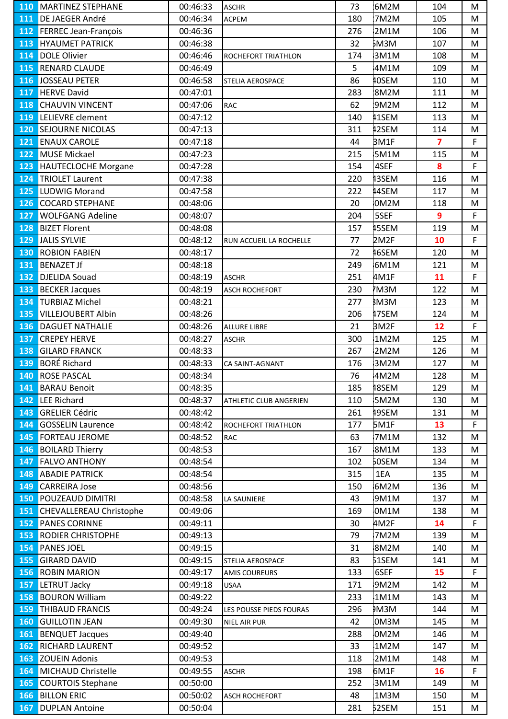| 110        | IMARIINEZ SIEPHANE             | 00:46:33 | <b>IASCHR</b>           | 73  | IQMZM        | 104            | M |
|------------|--------------------------------|----------|-------------------------|-----|--------------|----------------|---|
| 111        | DE JAEGER André                | 00:46:34 | <b>ACPEM</b>            | 180 | 7M2M         | 105            | M |
| 112        | <b>FERREC Jean-François</b>    | 00:46:36 |                         | 276 | 2M1M         | 106            | M |
| 113        | <b>HYAUMET PATRICK</b>         | 00:46:38 |                         | 32  | БМЗМ         | 107            | M |
| 114        | DOLE Olivier                   | 00:46:46 | ROCHEFORT TRIATHLON     | 174 | 3M1M         | 108            | M |
| <b>115</b> | <b>RENARD CLAUDE</b>           | 00:46:49 |                         | 5   | 4M1M         | 109            | M |
| 116        | JOSSEAU PETER                  | 00:46:58 | STELIA AEROSPACE        | 86  | 40SEM        | 110            | M |
| 117        | <b>HERVE David</b>             | 00:47:01 |                         | 283 | 8M2M         | 111            | M |
| 118        | <b>CHAUVIN VINCENT</b>         | 00:47:06 | <b>RAC</b>              | 62  | 9M2M         | 112            | M |
| 119        | LELIEVRE clement               | 00:47:12 |                         | 140 | <b>11SEM</b> | 113            | M |
| 120        | <b>SEJOURNE NICOLAS</b>        | 00:47:13 |                         | 311 | 12SEM        | 114            | M |
| 121        | <b>ENAUX CAROLE</b>            | 00:47:18 |                         | 44  | BM1F         | $\overline{7}$ | F |
| 122        | <b>MUSE Mickael</b>            | 00:47:23 |                         | 215 | 5M1M         | 115            | M |
| 123        | <b>HAUTECLOCHE Morgane</b>     | 00:47:28 |                         | 154 | 4SEF         | 8              | F |
| 124        | <b>TRIOLET Laurent</b>         | 00:47:38 |                         | 220 | 13SEM        | 116            | M |
| 125        | LUDWIG Morand                  | 00:47:58 |                         | 222 | 44SEM        | 117            | M |
| 126        | <b>COCARD STEPHANE</b>         | 00:48:06 |                         | 20  | 0M2M         | 118            | M |
| 127        | <b>WOLFGANG Adeline</b>        | 00:48:07 |                         | 204 | 5SEF         | 9              | F |
| 128        | <b>BIZET Florent</b>           | 00:48:08 |                         | 157 | <b>15SEM</b> | 119            | M |
| 129        | JALIS SYLVIE                   | 00:48:12 | RUN ACCUEIL LA ROCHELLE | 77  | 2M2F         | 10             | F |
| 130        | <b>ROBION FABIEN</b>           | 00:48:17 |                         | 72  | 16SEM        | 120            | M |
| 131        | <b>BENAZET Jf</b>              | 00:48:18 |                         | 249 | 6M1M         | 121            | M |
| 132        | <b>DJELIDA Souad</b>           | 00:48:19 | <b>ASCHR</b>            | 251 | 4M1F         | 11             | F |
| 133        | <b>BECKER Jacques</b>          | 00:48:19 | ASCH ROCHEFORT          | 230 | M3M          | 122            | M |
| 134        | <b>TURBIAZ Michel</b>          | 00:48:21 |                         | 277 | <b>BM3M</b>  | 123            | M |
| 135        | <b>VILLEJOUBERT Albin</b>      | 00:48:26 |                         | 206 | 17SEM        | 124            | M |
| 136        | <b>DAGUET NATHALIE</b>         | 00:48:26 | ALLURE LIBRE            | 21  | BM2F         | 12             | F |
| 137        | <b>CREPEY HERVE</b>            | 00:48:27 | <b>ASCHR</b>            | 300 | 1M2M         | 125            | M |
| 138        | <b>GILARD FRANCK</b>           | 00:48:33 |                         | 267 | 2M2M         | 126            | M |
| 139        | <b>BORÉ Richard</b>            | 00:48:33 |                         | 176 | 3M2M         | 127            | M |
| 140        | <b>ROSE PASCAL</b>             | 00:48:34 | CA SAINT-AGNANT         | 76  | 4M2M         |                |   |
|            | 141 BARAU Benoit               |          |                         | 185 | 18SEM        | 128<br>129     | M |
|            |                                | 00:48:35 |                         |     |              |                | M |
| 142        | LEE Richard                    | 00:48:37 | ATHLETIC CLUB ANGERIEN  | 110 | 5M2M         | 130            | M |
| 143        | <b>GRELIER Cédric</b>          | 00:48:42 |                         | 261 | 19SEM        | 131            | M |
| 144        | <b>GOSSELIN Laurence</b>       | 00:48:42 | ROCHEFORT TRIATHLON     | 177 | 5M1F         | 13             | F |
| 145        | <b>FORTEAU JEROME</b>          | 00:48:52 | <b>RAC</b>              | 63  | 7M1M         | 132            | M |
| 146        | <b>BOILARD Thierry</b>         | 00:48:53 |                         | 167 | 8M1M         | 133            | M |
| 147        | <b>FALVO ANTHONY</b>           | 00:48:54 |                         | 102 | 50SEM        | 134            | M |
| 148        | <b>ABADIE PATRICK</b>          | 00:48:54 |                         | 315 | 1EA          | 135            | M |
| 149        | <b>CARREIRA Jose</b>           | 00:48:56 |                         | 150 | 6M2M         | 136            | М |
| 150        | <b>POUZEAUD DIMITRI</b>        | 00:48:58 | LA SAUNIERE             | 43  | 9M1M         | 137            | M |
| 151        | <b>CHEVALLEREAU Christophe</b> | 00:49:06 |                         | 169 | OM1M         | 138            | M |
| 152        | <b>PANES CORINNE</b>           | 00:49:11 |                         | 30  | 4M2F         | 14             | F |
| 153        | <b>RODIER CHRISTOPHE</b>       | 00:49:13 |                         | 79  | 7M2M         | 139            | M |
| 154        | <b>PANES JOEL</b>              | 00:49:15 |                         | 31  | 8M2M         | 140            | M |
| 155        | <b>GIRARD DAVID</b>            | 00:49:15 | STELIA AEROSPACE        | 83  | 51SEM        | 141            | M |
| 156        | <b>ROBIN MARION</b>            | 00:49:17 | <b>AMIS COUREURS</b>    | 133 | 6SEF         | 15             | F |
| 157        | LETRUT Jacky                   | 00:49:18 | <b>USAA</b>             | 171 | 9M2M         | 142            | M |
| 158        | <b>BOURON William</b>          | 00:49:22 |                         | 233 | 1M1M         | 143            | M |
| 159        | <b>THIBAUD FRANCIS</b>         | 00:49:24 | LES POUSSE PIEDS FOURAS | 296 | икм          | 144            | M |
| <b>160</b> | <b>GUILLOTIN JEAN</b>          | 00:49:30 | NIEL AIR PUR            | 42  | 0M3M         | 145            | M |
| 161        | <b>BENQUET Jacques</b>         | 00:49:40 |                         | 288 | OM2M         | 146            | M |
| 162        | <b>RICHARD LAURENT</b>         | 00:49:52 |                         | 33  | 1M2M         | 147            | M |
| 163        | <b>ZOUEIN Adonis</b>           | 00:49:53 |                         | 118 | 2M1M         | 148            | M |
| 164        | MICHAUD Christelle             | 00:49:55 | <b>ASCHR</b>            | 198 | 6M1F         | 16             | F |
| <b>165</b> | <b>COURTOIS Stephane</b>       | 00:50:00 |                         | 252 | 3M1M         | 149            | M |
| 166        | <b>BILLON ERIC</b>             | 00:50:02 | ASCH ROCHEFORT          | 48  | 1M3M         | 150            | M |
| 167        | <b>DUPLAN Antoine</b>          | 00:50:04 |                         | 281 | 52SEM        | 151            | M |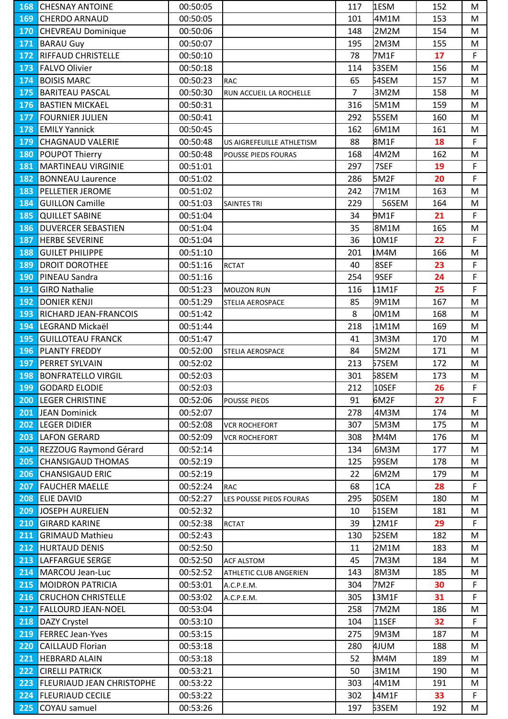| 168 | <b>CHESNAY ANTOINE</b>           | 00:50:05 |                           | 117            | <b>1ESM</b>  | 152 | M            |
|-----|----------------------------------|----------|---------------------------|----------------|--------------|-----|--------------|
| 169 | <b>CHERDO ARNAUD</b>             | 00:50:05 |                           | 101            | 4M1M         | 153 | M            |
| 170 | <b>CHEVREAU Dominique</b>        | 00:50:06 |                           | 148            | 2M2M         | 154 | M            |
| 171 | <b>BARAU Guy</b>                 | 00:50:07 |                           | 195            | 2M3M         | 155 | M            |
| 172 | <b>RIFFAUD CHRISTELLE</b>        | 00:50:10 |                           | 78             | 7M1F         | 17  | $\mathsf{F}$ |
| 173 | <b>FALVO Olivier</b>             | 00:50:18 |                           | 114            | 53SEM        | 156 | M            |
| 174 | <b>BOISIS MARC</b>               | 00:50:23 | <b>RAC</b>                | 65             | 54SEM        | 157 | M            |
| 175 | <b>BARITEAU PASCAL</b>           | 00:50:30 | RUN ACCUEIL LA ROCHELLE   | $\overline{7}$ | 3M2M         | 158 | M            |
| 176 | <b>BASTIEN MICKAEL</b>           | 00:50:31 |                           | 316            | 5M1M         | 159 | M            |
| 177 | <b>FOURNIER JULIEN</b>           | 00:50:41 |                           | 292            | 55SEM        | 160 | M            |
| 178 | <b>EMILY Yannick</b>             | 00:50:45 |                           | 162            | 6M1M         | 161 | M            |
| 179 | <b>CHAGNAUD VALERIE</b>          | 00:50:48 | US AIGREFEUILLE ATHLETISM | 88             | 8M1F         | 18  | F            |
| 180 | POUPOT Thierry                   | 00:50:48 | POUSSE PIEDS FOURAS       | 168            | 4M2M         | 162 | M            |
| 181 | MARTINEAU VIRGINIE               | 00:51:01 |                           | 297            | 7SEF         | 19  | F            |
| 182 | <b>BONNEAU Laurence</b>          | 00:51:02 |                           | 286            | 5M2F         | 20  | F            |
| 183 | <b>PELLETIER JEROME</b>          | 00:51:02 |                           | 242            | 7M1M         | 163 | M            |
| 184 | <b>GUILLON Camille</b>           | 00:51:03 | <b>SAINTES TRI</b>        | 229            | 56SEM        | 164 | M            |
| 185 | <b>QUILLET SABINE</b>            | 00:51:04 |                           | 34             | 9M1F         | 21  | F            |
| 186 | <b>DUVERCER SEBASTIEN</b>        | 00:51:04 |                           | 35             | 8M1M         | 165 | M            |
| 187 | <b>HERBE SEVERINE</b>            | 00:51:04 |                           | 36             | OM1F         | 22  | F            |
| 188 | <b>GUILET PHILIPPE</b>           | 00:51:10 |                           | 201            | M4M          | 166 | M            |
| 189 | <b>DROIT DOROTHEE</b>            | 00:51:16 | <b>RCTAT</b>              | 40             | 8SEF         | 23  | F            |
| 190 | PINEAU Sandra                    | 00:51:16 |                           | 254            | 9SEF         | 24  | F            |
| 191 | <b>GIRO Nathalie</b>             | 00:51:23 | MOUZON RUN                | 116            | 1M1F         | 25  | F            |
| 192 | <b>DONIER KENJI</b>              | 00:51:29 | STELIA AEROSPACE          | 85             | 9M1M         | 167 | M            |
| 193 | <b>RICHARD JEAN-FRANCOIS</b>     | 00:51:42 |                           | 8              | 0M1M         | 168 | M            |
| 194 | LEGRAND Mickaël                  | 00:51:44 |                           | 218            | 1M1M         | 169 | M            |
| 195 | <b>GUILLOTEAU FRANCK</b>         | 00:51:47 |                           | 41             | 3M3M         | 170 | M            |
| 196 | PLANTY FREDDY                    | 00:52:00 | STELIA AEROSPACE          | 84             | 5M2M         | 171 | M            |
| 197 | <b>PERRET SYLVAIN</b>            | 00:52:02 |                           | 213            | 57SEM        | 172 | M            |
| 198 | <b>BONFRATELLO VIRGIL</b>        | 00:52:03 |                           | 301            | <b>58SEM</b> | 173 | M            |
| 199 | <b>GODARD ELODIE</b>             | 00:52:03 |                           | 212            | 10SEF        | 26  | F.           |
| 200 | <b>LEGER CHRISTINE</b>           | 00:52:06 | POUSSE PIEDS              | 91             | 6M2F         | 27  | F            |
| 201 | <b>JEAN Dominick</b>             | 00:52:07 |                           | 278            | 4M3M         | 174 | M            |
| 202 | <b>LEGER DIDIER</b>              | 00:52:08 | <b>VCR ROCHEFORT</b>      | 307            | 5M3M         | 175 | M            |
| 203 | LAFON GERARD                     | 00:52:09 | <b>VCR ROCHEFORT</b>      | 308            | M4M          | 176 | M            |
| 204 | REZZOUG Raymond Gérard           | 00:52:14 |                           | 134            | 6M3M         | 177 | M            |
| 205 | <b>CHANSIGAUD THOMAS</b>         | 00:52:19 |                           | 125            | 59SEM        | 178 | M            |
| 206 | <b>CHANSIGAUD ERIC</b>           | 00:52:19 |                           | 22             | 6M2M         | 179 | M            |
| 207 | <b>FAUCHER MAELLE</b>            | 00:52:24 | <b>RAC</b>                | 68             | 1CA          | 28  | F.           |
| 208 | <b>ELIE DAVID</b>                | 00:52:27 | LES POUSSE PIEDS FOURAS   | 295            | <b>50SEM</b> | 180 | M            |
| 209 | <b>JOSEPH AURELIEN</b>           | 00:52:32 |                           | 10             | 51SEM        | 181 | M            |
| 210 | <b>GIRARD KARINE</b>             | 00:52:38 | <b>RCTAT</b>              | 39             | 2M1F         | 29  | F.           |
| 211 | <b>GRIMAUD Mathieu</b>           | 00:52:43 |                           | 130            | 62SEM        | 182 | M            |
| 212 | <b>HURTAUD DENIS</b>             | 00:52:50 |                           | 11             | 2M1M         | 183 | M            |
| 213 | LAFFARGUE SERGE                  | 00:52:50 | <b>ACF ALSTOM</b>         | 45             | 7M3M         | 184 | M            |
| 214 | MARCOU Jean-Luc                  | 00:52:52 | ATHLETIC CLUB ANGERIEN    | 143            | 8M3M         | 185 | M            |
| 215 | <b>MOIDRON PATRICIA</b>          | 00:53:01 | A.C.P.E.M.                | 304            | 7M2F         | 30  | F.           |
| 216 | <b>CRUCHON CHRISTELLE</b>        | 00:53:02 | A.C.P.E.M.                | 305            | 3M1F         | 31  | F            |
| 217 | <b>FALLOURD JEAN-NOEL</b>        | 00:53:04 |                           | 258            | 7M2M         | 186 | M            |
| 218 | DAZY Crystel                     | 00:53:10 |                           | 104            | 11SEF        | 32  | F            |
| 219 | <b>FERREC Jean-Yves</b>          | 00:53:15 |                           | 275            | 9M3M         | 187 | M            |
| 220 | <b>CAILLAUD Florian</b>          | 00:53:18 |                           | 280            | 4JUM         | 188 | M            |
| 221 | <b>HEBRARD ALAIN</b>             | 00:53:18 |                           | 52             | BM4M         | 189 | M            |
| 222 | <b>CIRELLI PATRICK</b>           | 00:53:21 |                           | 50             | 3M1M         | 190 | M            |
| 223 | <b>FLEURIAUD JEAN CHRISTOPHE</b> | 00:53:22 |                           | 303            | 4M1M         | 191 | M            |
| 224 | <b>FLEURIAUD CECILE</b>          | 00:53:22 |                           | 302            | 4M1F         | 33  | F.           |
| 225 | COYAU samuel                     | 00:53:26 |                           | 197            | 53SEM        | 192 | M            |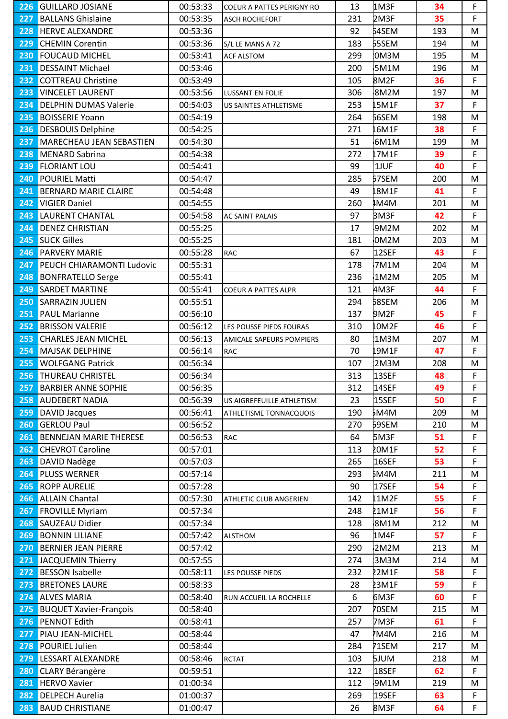|                  | <b>226 GUILLARD JOSIANE</b>     | 00:53:33 | <b>COEUR A PATTES PERIGNY RO</b> | 13  | <b>LM3F</b>  | 34  | F           |
|------------------|---------------------------------|----------|----------------------------------|-----|--------------|-----|-------------|
| 227              | <b>BALLANS Ghislaine</b>        | 00:53:35 | ASCH ROCHEFORT                   | 231 | <b>2M3F</b>  | 35  | F.          |
| 228              | <b>HERVE ALEXANDRE</b>          | 00:53:36 |                                  | 92  | <b>54SEM</b> | 193 | M           |
| 229              | <b>CHEMIN Corentin</b>          | 00:53:36 | S/L LE MANS A 72                 | 183 | <b>55SEM</b> | 194 | M           |
| 230              | <b>FOUCAUD MICHEL</b>           | 00:53:41 | <b>ACF ALSTOM</b>                | 299 | 0M3M         | 195 | M           |
| 231              | <b>DESSAINT Michael</b>         | 00:53:46 |                                  | 200 | 5M1M         | 196 | M           |
| 232              | <b>COTTREAU Christine</b>       | 00:53:49 |                                  | 105 | 8M2F         | 36  | F           |
| 233              | <b>VINCELET LAURENT</b>         | 00:53:56 | LUSSANT EN FOLIE                 | 306 | 8M2M         | 197 | M           |
| 234              | <b>DELPHIN DUMAS Valerie</b>    | 00:54:03 | US SAINTES ATHLETISME            | 253 | L5M1F        | 37  | F           |
| 235              | <b>BOISSERIE Yoann</b>          | 00:54:19 |                                  | 264 | 56SEM        | 198 | M           |
| 236              | <b>DESBOUIS Delphine</b>        | 00:54:25 |                                  | 271 | L6M1F        | 38  | $\mathsf F$ |
| 237              | <b>MARECHEAU JEAN SEBASTIEN</b> | 00:54:30 |                                  | 51  | 6M1M         | 199 | M           |
| 238              | MENARD Sabrina                  | 00:54:38 |                                  | 272 | L7M1F        | 39  | F           |
| 239              | <b>FLORIANT LOU</b>             | 00:54:41 |                                  | 99  | 1JUF         | 40  | F           |
| 240              | <b>POURIEL Matti</b>            | 00:54:47 |                                  | 285 | 57SEM        | 200 | M           |
| 241              | <b>BERNARD MARIE CLAIRE</b>     | 00:54:48 |                                  | 49  | 8M1F         | 41  | $\mathsf F$ |
| 242              | <b>VIGIER Daniel</b>            | 00:54:55 |                                  | 260 | IM4M         | 201 | M           |
| 243              | <b>LAURENT CHANTAL</b>          | 00:54:58 | <b>AC SAINT PALAIS</b>           | 97  | BM3F         | 42  | F           |
| 244              | <b>DENEZ CHRISTIAN</b>          | 00:55:25 |                                  | 17  | 9M2M         | 202 | M           |
| 245              | <b>SUCK Gilles</b>              | 00:55:25 |                                  | 181 | 0M2M         | 203 | M           |
| 246              | <b>PARVERY MARIE</b>            | 00:55:28 | <b>RAC</b>                       | 67  | 12SEF        | 43  | $\mathsf F$ |
|                  |                                 |          |                                  |     |              |     |             |
| 247              | PEUCH CHIARAMONTI Ludovic       | 00:55:31 |                                  | 178 | 7M1M         | 204 | M           |
| 248              | <b>BONFRATELLO Serge</b>        | 00:55:41 |                                  | 236 | 1M2M         | 205 | M           |
| 249              | <b>SARDET MARTINE</b>           | 00:55:41 | COEUR A PATTES ALPR              | 121 | 4M3F         | 44  | F           |
| 250              | <b>SARRAZIN JULIEN</b>          | 00:55:51 |                                  | 294 | 68SEM        | 206 | M           |
| 251              | <b>PAUL Marianne</b>            | 00:56:10 |                                  | 137 | 9M2F         | 45  | F           |
| 252              | <b>BRISSON VALERIE</b>          | 00:56:12 | LES POUSSE PIEDS FOURAS          | 310 | OM2F         | 46  | F.          |
| 253              | <b>CHARLES JEAN MICHEL</b>      | 00:56:13 | AMICALE SAPEURS POMPIERS         | 80  | 1M3M         | 207 | М           |
| 254              | <b>MAJSAK DELPHINE</b>          | 00:56:14 | <b>RAC</b>                       | 70  | 19M1F        | 47  | F           |
| 255              | <b>WOLFGANG Patrick</b>         | 00:56:34 |                                  | 107 | 2M3M         | 208 | M           |
|                  | <b>256 THUREAU CHRISTEL</b>     | 00:56:34 |                                  | 313 | 13SEF        | 48  | F           |
| 257              | <b>BARBIER ANNE SOPHIE</b>      | 00:56:35 |                                  | 312 | 14SEF        | 49  | $\bar{F}$   |
| 258              | <b>AUDEBERT NADIA</b>           | 00:56:39 | US AIGREFEUILLE ATHLETISM        | 23  | 15SEF        | 50  | F           |
| 259              | <b>DAVID Jacques</b>            | 00:56:41 | ATHLETISME TONNACQUOIS           | 190 | БM4M         | 209 | M           |
| 260              | <b>GERLOU Paul</b>              | 00:56:52 |                                  | 270 | 69SEM        | 210 | М           |
| 261              | <b>BENNEJAN MARIE THERESE</b>   | 00:56:53 | <b>RAC</b>                       | 64  | 5M3F         | 51  | F.          |
| 262              | <b>CHEVROT Caroline</b>         | 00:57:01 |                                  | 113 | <b>POM1F</b> | 52  | F           |
| 263              | DAVID Nadège                    | 00:57:03 |                                  | 265 | 16SEF        | 53  | F           |
| 264              | <b>PLUSS WERNER</b>             | 00:57:14 |                                  | 293 | <b>SM4M</b>  | 211 | M           |
| 265              | <b>ROPP AURELIE</b>             | 00:57:28 |                                  | 90  | 17SEF        | 54  | F.          |
| 266              | <b>ALLAIN Chantal</b>           | 00:57:30 | ATHLETIC CLUB ANGERIEN           | 142 | L1M2F        | 55  | F           |
| 267              | <b>FROVILLE Myriam</b>          | 00:57:34 |                                  | 248 | 21M1F        | 56  | F           |
| 268              | <b>SAUZEAU Didier</b>           | 00:57:34 |                                  | 128 | 8M1M         | 212 | M           |
| 269              | <b>BONNIN LILIANE</b>           | 00:57:42 | <b>ALSTHOM</b>                   | 96  | 1M4F         | 57  | F           |
| 270              | <b>BERNIER JEAN PIERRE</b>      | 00:57:42 |                                  | 290 | 2M2M         | 213 | M           |
| $\overline{271}$ | JACQUEMIN Thierry               | 00:57:55 |                                  | 274 | 3M3M         | 214 | M           |
| 272              | <b>BESSON Isabelle</b>          | 00:58:11 | LES POUSSE PIEDS                 | 232 | 22M1F        | 58  | F           |
| 273              | <b>BRETONES LAURE</b>           | 00:58:33 |                                  | 28  | 23M1F        | 59  | F           |
| 274              | <b>ALVES MARIA</b>              | 00:58:40 | RUN ACCUEIL LA ROCHELLE          | 6   | 6M3F         | 60  | F           |
| 275              | <b>BUQUET Xavier-François</b>   | 00:58:40 |                                  | 207 | <b>70SEM</b> | 215 | M           |
| 276              | PENNOT Edith                    | 00:58:41 |                                  | 257 | 7M3F         | 61  | F.          |
| 277              | PIAU JEAN-MICHEL                | 00:58:44 |                                  | 47  | M4M          | 216 | M           |
| 278              | <b>POURIEL Julien</b>           | 00:58:44 |                                  | 284 | 71SEM        | 217 | M           |
| 279              | LESSART ALEXANDRE               | 00:58:46 | <b>RCTAT</b>                     | 103 | <b>SJUM</b>  | 218 | M           |
| 280              | <b>CLARY Bérangère</b>          | 00:59:51 |                                  | 122 | 18SEF        | 62  | F           |
| 281              | <b>HERVO Xavier</b>             | 01:00:34 |                                  | 112 | 9M1M         | 219 | M           |
| 282              | <b>DELPECH Aurelia</b>          | 01:00:37 |                                  | 269 | 19SEF        | 63  | F.          |
| 283              | <b>BAUD CHRISTIANE</b>          | 01:00:47 |                                  | 26  | 8M3F         | 64  | F.          |